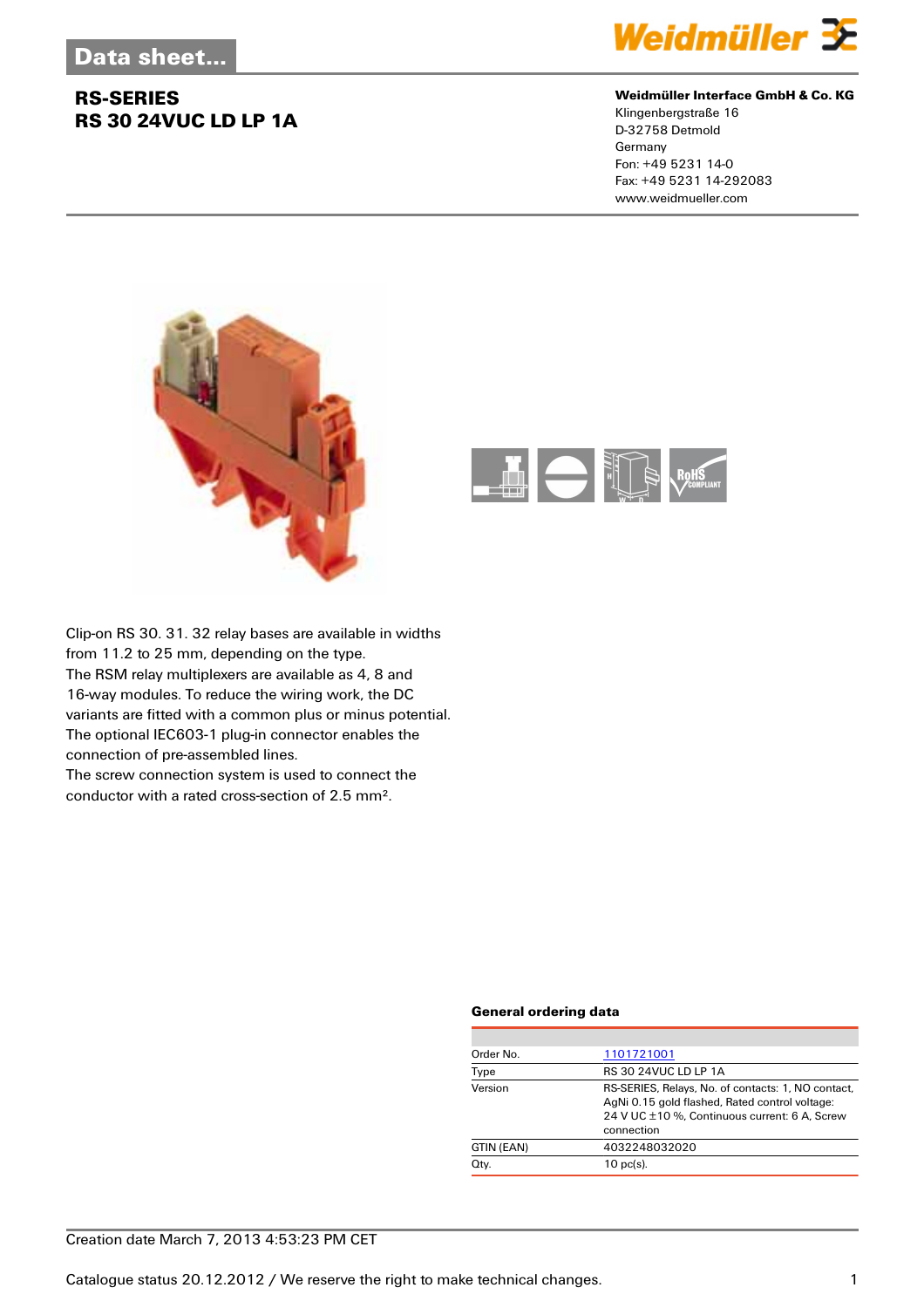### **RS-SERIES RS 30 24VUC LD LP 1A**



#### **Weidmüller Interface GmbH & Co. KG**

Klingenbergstraße 16 D-32758 Detmold Germany Fon: +49 5231 14-0 Fax: +49 5231 14-292083 www.weidmueller.com





Clip-on RS 30. 31. 32 relay bases are available in widths from 11.2 to 25 mm, depending on the type. The RSM relay multiplexers are available as 4, 8 and 16-way modules. To reduce the wiring work, the DC variants are fitted with a common plus or minus potential. The optional IEC603-1 plug-in connector enables the connection of pre-assembled lines.

The screw connection system is used to connect the conductor with a rated cross-section of 2.5 mm².

#### **General ordering data**

| Order No.  | 1101721001                                                                                                                                                          |
|------------|---------------------------------------------------------------------------------------------------------------------------------------------------------------------|
| Type       | <b>RS 30 24VUC LD LP 1A</b>                                                                                                                                         |
| Version    | RS-SERIES, Relays, No. of contacts: 1, NO contact,<br>AgNi 0.15 gold flashed, Rated control voltage:<br>24 V UC ±10 %, Continuous current: 6 A, Screw<br>connection |
| GTIN (EAN) | 4032248032020                                                                                                                                                       |
| Qty.       | $10$ pc(s).                                                                                                                                                         |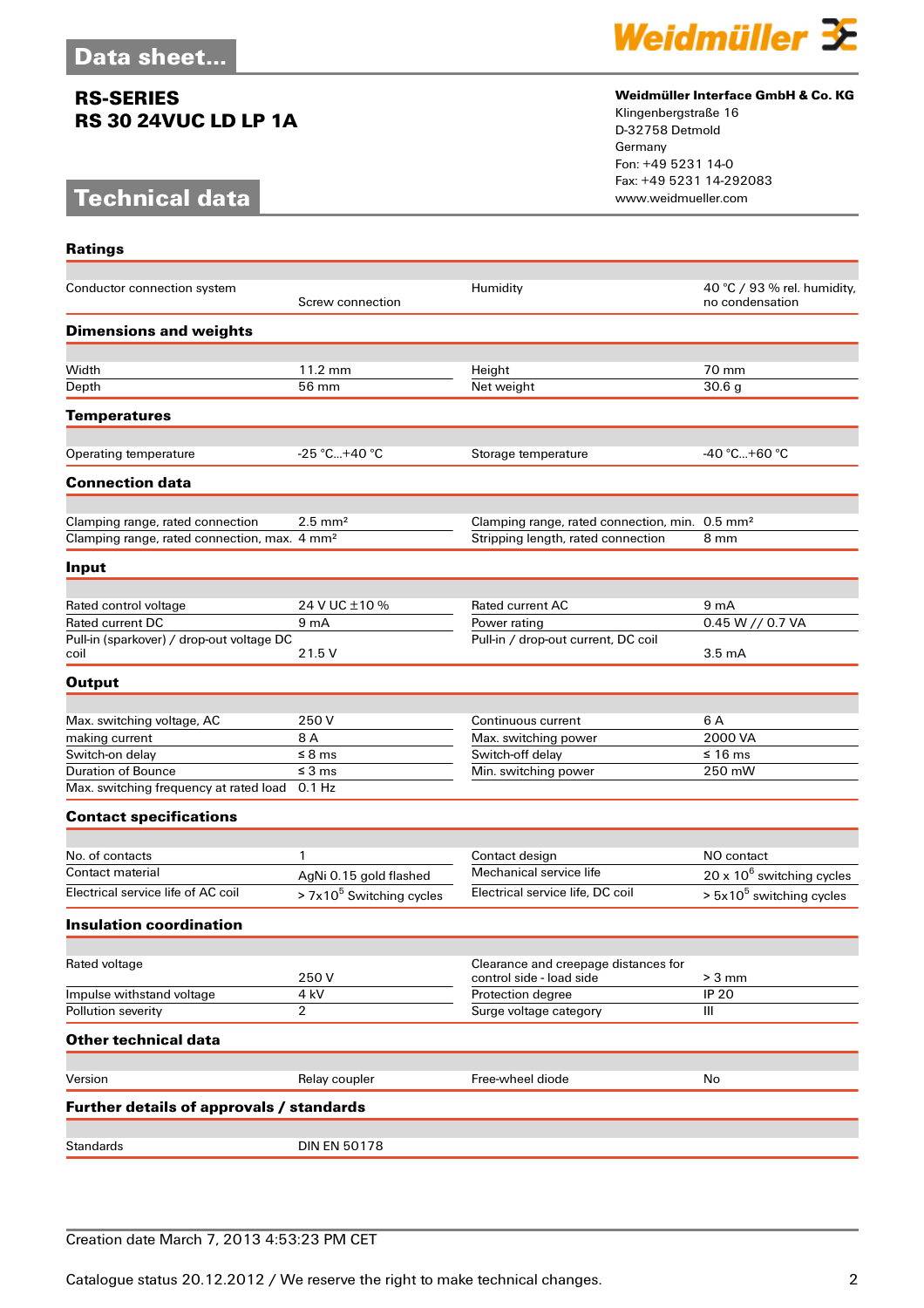### **RS-SERIES RS 30 24VUC LD LP 1A**

# **Technical data**

**Ratings**



#### **Weidmüller Interface GmbH & Co. KG**

Klingenbergstraße 16 D-32758 Detmold Germany Fon: +49 5231 14-0 Fax: +49 5231 14-292083

| Conductor connection system                              | Screw connection           | Humidity                                                         | 40 °C / 93 % rel. humidity,<br>no condensation |
|----------------------------------------------------------|----------------------------|------------------------------------------------------------------|------------------------------------------------|
| <b>Dimensions and weights</b>                            |                            |                                                                  |                                                |
|                                                          |                            |                                                                  |                                                |
| Width                                                    | 11.2 mm                    | Height                                                           | 70 mm                                          |
| Depth                                                    | 56 mm                      | Net weight                                                       | 30.6 <sub>g</sub>                              |
| <b>Temperatures</b>                                      |                            |                                                                  |                                                |
| Operating temperature                                    | $-25 °C+40 °C$             |                                                                  | $-40 °C+60 °C$                                 |
|                                                          |                            | Storage temperature                                              |                                                |
| <b>Connection data</b>                                   |                            |                                                                  |                                                |
| Clamping range, rated connection                         | $2.5 \text{ mm}^2$         | Clamping range, rated connection, min. 0.5 mm <sup>2</sup>       |                                                |
| Clamping range, rated connection, max. 4 mm <sup>2</sup> |                            | Stripping length, rated connection                               | 8 mm                                           |
| Input                                                    |                            |                                                                  |                                                |
|                                                          |                            |                                                                  |                                                |
| Rated control voltage                                    | 24 V UC ±10 %              | <b>Rated current AC</b>                                          | 9 <sub>m</sub> A                               |
| <b>Rated current DC</b>                                  | 9 <sub>m</sub> A           | Power rating                                                     | 0.45 W // 0.7 VA                               |
| Pull-in (sparkover) / drop-out voltage DC<br>coil        | 21.5 V                     | Pull-in / drop-out current, DC coil                              | 3.5 <sub>m</sub> A                             |
|                                                          |                            |                                                                  |                                                |
| <b>Output</b>                                            |                            |                                                                  |                                                |
| Max. switching voltage, AC                               | 250 V                      | Continuous current                                               | 6 A                                            |
| making current                                           | 8 A                        | Max. switching power                                             | 2000 VA                                        |
| Switch-on delay                                          | $\leq$ 8 ms                | Switch-off delay                                                 | ≤ 16 ms                                        |
| <b>Duration of Bounce</b>                                | $\leq$ 3 ms                | Min. switching power                                             | 250 mW                                         |
| Max. switching frequency at rated load                   | $0.1$ Hz                   |                                                                  |                                                |
| <b>Contact specifications</b>                            |                            |                                                                  |                                                |
|                                                          |                            |                                                                  |                                                |
| No. of contacts                                          | 1                          | Contact design                                                   | NO contact                                     |
| Contact material                                         | AgNi 0.15 gold flashed     | Mechanical service life                                          | 20 x $10^6$ switching cycles                   |
| Electrical service life of AC coil                       | $> 7x105$ Switching cycles | Electrical service life, DC coil                                 | $> 5x105$ switching cycles                     |
| <b>Insulation coordination</b>                           |                            |                                                                  |                                                |
|                                                          |                            |                                                                  |                                                |
| Rated voltage                                            | 250V                       | Clearance and creepage distances for<br>control side - load side | $> 3$ mm                                       |
| Impulse withstand voltage                                | 4 kV                       | Protection degree                                                | <b>IP 20</b>                                   |
| Pollution severity                                       | 2                          | Surge voltage category                                           | Ш                                              |
| <b>Other technical data</b>                              |                            |                                                                  |                                                |
|                                                          |                            |                                                                  |                                                |
| Version                                                  | Relay coupler              | Free-wheel diode                                                 | No                                             |
| Further details of approvals / standards                 |                            |                                                                  |                                                |
| <b>Standards</b>                                         | <b>DIN EN 50178</b>        |                                                                  |                                                |
|                                                          |                            |                                                                  |                                                |